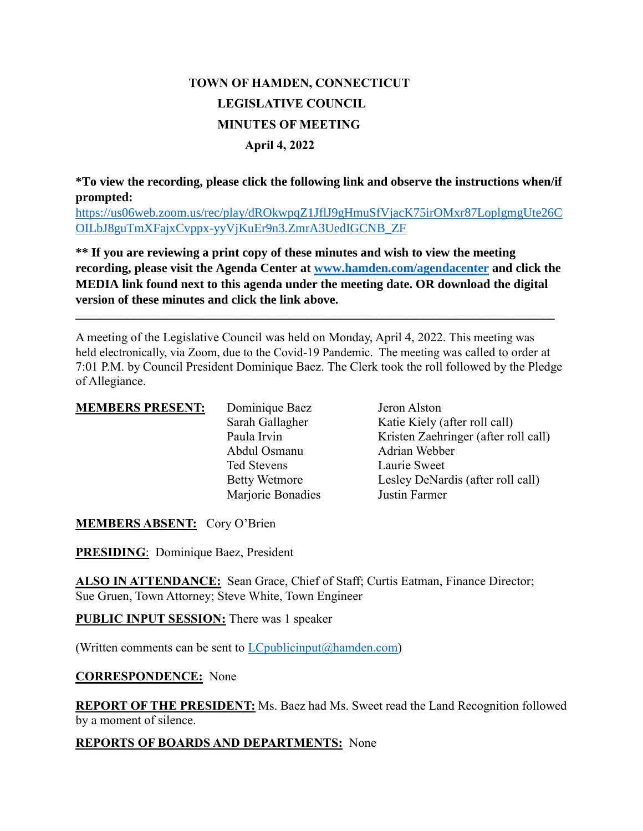# **TOWN OF HAMDEN, CONNECTICUT LEGISLATIVE COUNCIL MINUTES OF MEETING April 4, 2022**

**\*To view the recording, please click the following link and observe the instructions when/if prompted:**

[https://us06web.zoom.us/rec/play/dROkwpqZ1JflJ9gHmuSfVjacK75irOMxr87LoplgmgUte26C](https://us06web.zoom.us/rec/play/dROkwpqZ1JflJ9gHmuSfVjacK75irOMxr87LoplgmgUte26COILbJ8guTmXFajxCvppx-yyVjKuEr9n3.ZmrA3UedIGCNB_ZF) [OILbJ8guTmXFajxCvppx-yyVjKuEr9n3.ZmrA3UedIGCNB\\_ZF](https://us06web.zoom.us/rec/play/dROkwpqZ1JflJ9gHmuSfVjacK75irOMxr87LoplgmgUte26COILbJ8guTmXFajxCvppx-yyVjKuEr9n3.ZmrA3UedIGCNB_ZF)

**\*\* If you are reviewing a print copy of these minutes and wish to view the meeting recording, please visit the Agenda Center at [www.hamden.com/agendacenter](http://www.hamden.com/agendacenter) and click the MEDIA link found next to this agenda under the meeting date. OR download the digital version of these minutes and click the link above.**

**\_\_\_\_\_\_\_\_\_\_\_\_\_\_\_\_\_\_\_\_\_\_\_\_\_\_\_\_\_\_\_\_\_\_\_\_\_\_\_\_\_\_\_\_\_\_\_\_\_\_\_\_\_\_\_\_\_\_\_\_\_\_\_\_\_\_\_\_\_\_\_\_\_\_\_\_\_\_\_\_\_\_\_**

A meeting of the Legislative Council was held on Monday, April 4, 2022. This meeting was held electronically, via Zoom, due to the Covid-19 Pandemic. The meeting was called to order at 7:01 P.M. by Council President Dominique Baez. The Clerk took the roll followed by the Pledge of Allegiance.

| <b>MEMBERS PRESENT:</b> | Dominique Baez<br>Sarah Gallagher<br>Paula Irvin<br>Abdul Osmanu<br>Ted Stevens | Jeron Alston<br>Katie Kiely (after roll call)<br>Kristen Zaehringer (after roll call)<br>Adrian Webber<br>Laurie Sweet |
|-------------------------|---------------------------------------------------------------------------------|------------------------------------------------------------------------------------------------------------------------|
|                         | <b>Betty Wetmore</b><br>Marjorie Bonadies                                       | Lesley DeNardis (after roll call)<br>Justin Farmer                                                                     |

**MEMBERS ABSENT:** Cory O'Brien

**PRESIDING**: Dominique Baez, President

ALSO IN ATTENDANCE: Sean Grace, Chief of Staff; Curtis Eatman, Finance Director; Sue Gruen, Town Attorney; Steve White, Town Engineer

**PUBLIC INPUT SESSION:** There was 1 speaker

(Written comments can be sent to  $LC$  publicinput  $(a)$  hamden.com)

## **CORRESPONDENCE:** None

**REPORT OF THE PRESIDENT:** Ms. Baez had Ms. Sweet read the Land Recognition followed by a moment of silence.

## **REPORTS OF BOARDS AND DEPARTMENTS:** None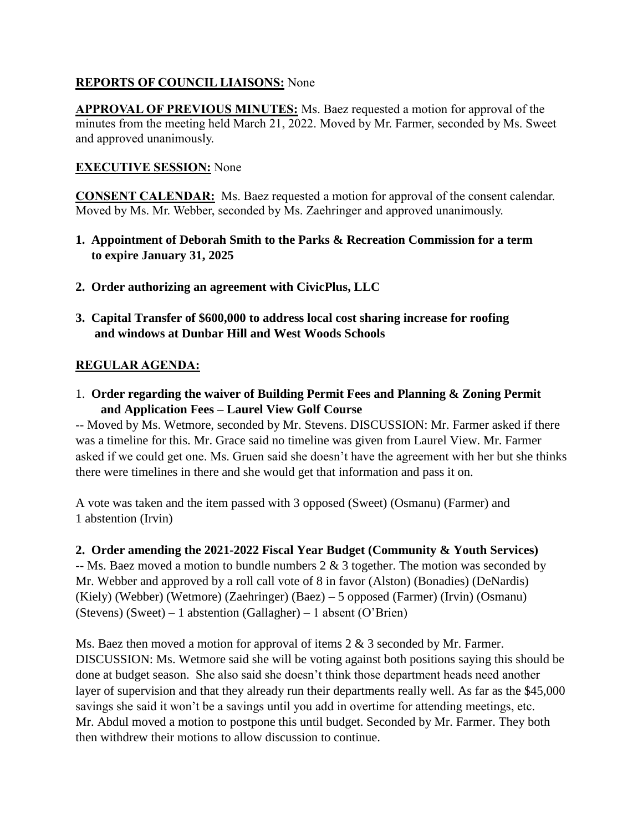# **REPORTS OF COUNCIL LIAISONS:** None

**APPROVAL OF PREVIOUS MINUTES:** Ms. Baez requested a motion for approval of the minutes from the meeting held March 21, 2022. Moved by Mr. Farmer, seconded by Ms. Sweet and approved unanimously.

# **EXECUTIVE SESSION:** None

**CONSENT CALENDAR:** Ms. Baez requested a motion for approval of the consent calendar. Moved by Ms. Mr. Webber, seconded by Ms. Zaehringer and approved unanimously.

- **1. Appointment of Deborah Smith to the Parks & Recreation Commission for a term to expire January 31, 2025**
- **2. Order authorizing an agreement with CivicPlus, LLC**
- **3. Capital Transfer of \$600,000 to address local cost sharing increase for roofing and windows at Dunbar Hill and West Woods Schools**

## **REGULAR AGENDA:**

1. **Order regarding the waiver of Building Permit Fees and Planning & Zoning Permit and Application Fees – Laurel View Golf Course**

-- Moved by Ms. Wetmore, seconded by Mr. Stevens. DISCUSSION: Mr. Farmer asked if there was a timeline for this. Mr. Grace said no timeline was given from Laurel View. Mr. Farmer asked if we could get one. Ms. Gruen said she doesn't have the agreement with her but she thinks there were timelines in there and she would get that information and pass it on.

A vote was taken and the item passed with 3 opposed (Sweet) (Osmanu) (Farmer) and 1 abstention (Irvin)

## **2. Order amending the 2021-2022 Fiscal Year Budget (Community & Youth Services)**

 $-$  Ms. Baez moved a motion to bundle numbers 2  $\&$  3 together. The motion was seconded by Mr. Webber and approved by a roll call vote of 8 in favor (Alston) (Bonadies) (DeNardis) (Kiely) (Webber) (Wetmore) (Zaehringer) (Baez) – 5 opposed (Farmer) (Irvin) (Osmanu) (Stevens) (Sweet) – 1 abstention (Gallagher) – 1 absent (O'Brien)

Ms. Baez then moved a motion for approval of items 2 & 3 seconded by Mr. Farmer. DISCUSSION: Ms. Wetmore said she will be voting against both positions saying this should be done at budget season. She also said she doesn't think those department heads need another layer of supervision and that they already run their departments really well. As far as the \$45,000 savings she said it won't be a savings until you add in overtime for attending meetings, etc. Mr. Abdul moved a motion to postpone this until budget. Seconded by Mr. Farmer. They both then withdrew their motions to allow discussion to continue.